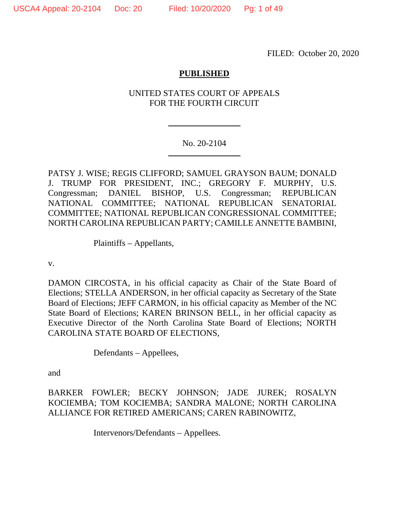FILED: October 20, 2020

# **PUBLISHED**

# UNITED STATES COURT OF APPEALS FOR THE FOURTH CIRCUIT

## No. 20-2104

PATSY J. WISE; REGIS CLIFFORD; SAMUEL GRAYSON BAUM; DONALD J. TRUMP FOR PRESIDENT, INC.; GREGORY F. MURPHY, U.S. Congressman; DANIEL BISHOP, U.S. Congressman; REPUBLICAN NATIONAL COMMITTEE; NATIONAL REPUBLICAN SENATORIAL COMMITTEE; NATIONAL REPUBLICAN CONGRESSIONAL COMMITTEE; NORTH CAROLINA REPUBLICAN PARTY; CAMILLE ANNETTE BAMBINI,

Plaintiffs – Appellants,

v.

DAMON CIRCOSTA, in his official capacity as Chair of the State Board of Elections; STELLA ANDERSON, in her official capacity as Secretary of the State Board of Elections; JEFF CARMON, in his official capacity as Member of the NC State Board of Elections; KAREN BRINSON BELL, in her official capacity as Executive Director of the North Carolina State Board of Elections; NORTH CAROLINA STATE BOARD OF ELECTIONS,

Defendants – Appellees,

and

BARKER FOWLER; BECKY JOHNSON; JADE JUREK; ROSALYN KOCIEMBA; TOM KOCIEMBA; SANDRA MALONE; NORTH CAROLINA ALLIANCE FOR RETIRED AMERICANS; CAREN RABINOWITZ,

Intervenors/Defendants – Appellees.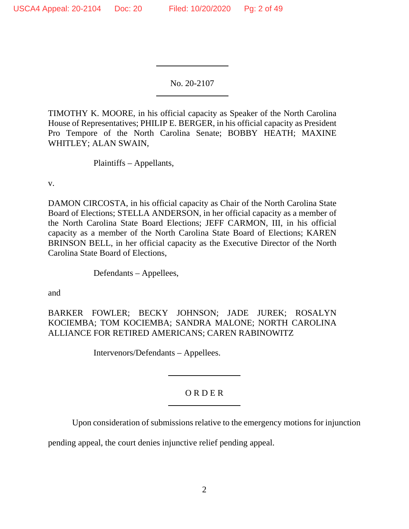No. 20-2107

TIMOTHY K. MOORE, in his official capacity as Speaker of the North Carolina House of Representatives; PHILIP E. BERGER, in his official capacity as President Pro Tempore of the North Carolina Senate; BOBBY HEATH; MAXINE WHITLEY; ALAN SWAIN,

Plaintiffs – Appellants,

v.

DAMON CIRCOSTA, in his official capacity as Chair of the North Carolina State Board of Elections; STELLA ANDERSON, in her official capacity as a member of the North Carolina State Board Elections; JEFF CARMON, III, in his official capacity as a member of the North Carolina State Board of Elections; KAREN BRINSON BELL, in her official capacity as the Executive Director of the North Carolina State Board of Elections,

Defendants – Appellees,

and

BARKER FOWLER; BECKY JOHNSON; JADE JUREK; ROSALYN KOCIEMBA; TOM KOCIEMBA; SANDRA MALONE; NORTH CAROLINA ALLIANCE FOR RETIRED AMERICANS; CAREN RABINOWITZ

Intervenors/Defendants – Appellees.

# O R D E R

Upon consideration of submissions relative to the emergency motions for injunction

pending appeal, the court denies injunctive relief pending appeal.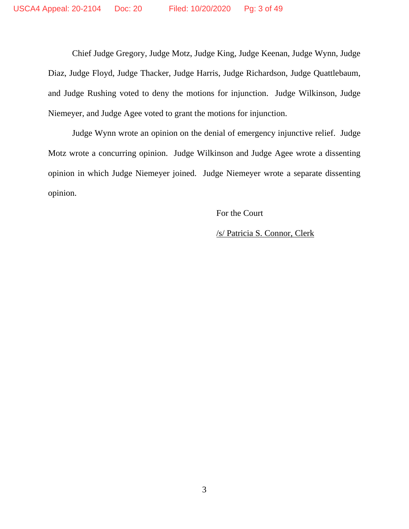Chief Judge Gregory, Judge Motz, Judge King, Judge Keenan, Judge Wynn, Judge Diaz, Judge Floyd, Judge Thacker, Judge Harris, Judge Richardson, Judge Quattlebaum, and Judge Rushing voted to deny the motions for injunction. Judge Wilkinson, Judge Niemeyer, and Judge Agee voted to grant the motions for injunction.

Judge Wynn wrote an opinion on the denial of emergency injunctive relief. Judge Motz wrote a concurring opinion. Judge Wilkinson and Judge Agee wrote a dissenting opinion in which Judge Niemeyer joined. Judge Niemeyer wrote a separate dissenting opinion.

For the Court

/s/ Patricia S. Connor, Clerk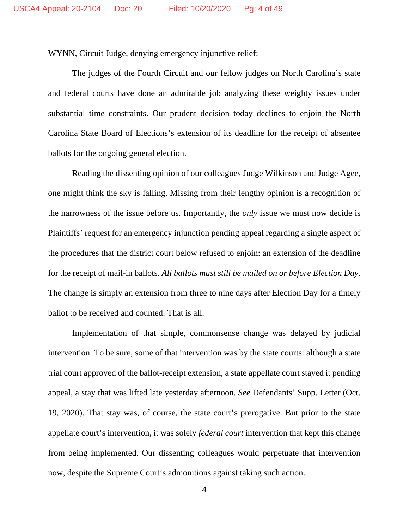WYNN, Circuit Judge, denying emergency injunctive relief:

The judges of the Fourth Circuit and our fellow judges on North Carolina's state and federal courts have done an admirable job analyzing these weighty issues under substantial time constraints. Our prudent decision today declines to enjoin the North Carolina State Board of Elections's extension of its deadline for the receipt of absentee ballots for the ongoing general election.

Reading the dissenting opinion of our colleagues Judge Wilkinson and Judge Agee, one might think the sky is falling. Missing from their lengthy opinion is a recognition of the narrowness of the issue before us. Importantly, the *only* issue we must now decide is Plaintiffs' request for an emergency injunction pending appeal regarding a single aspect of the procedures that the district court below refused to enjoin: an extension of the deadline for the receipt of mail-in ballots. *All ballots must still be mailed on or before Election Day.* The change is simply an extension from three to nine days after Election Day for a timely ballot to be received and counted. That is all.

Implementation of that simple, commonsense change was delayed by judicial intervention. To be sure, some of that intervention was by the state courts: although a state trial court approved of the ballot-receipt extension, a state appellate court stayed it pending appeal, a stay that was lifted late yesterday afternoon. *See* Defendants' Supp. Letter (Oct. 19, 2020). That stay was, of course, the state court's prerogative. But prior to the state appellate court's intervention, it was solely *federal court* intervention that kept this change from being implemented. Our dissenting colleagues would perpetuate that intervention now, despite the Supreme Court's admonitions against taking such action.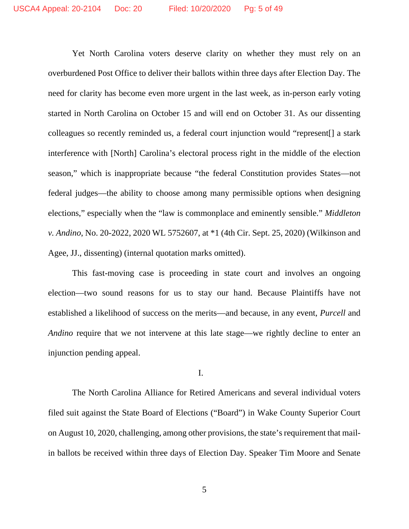Yet North Carolina voters deserve clarity on whether they must rely on an overburdened Post Office to deliver their ballots within three days after Election Day. The need for clarity has become even more urgent in the last week, as in-person early voting started in North Carolina on October 15 and will end on October 31. As our dissenting colleagues so recently reminded us, a federal court injunction would "represent[] a stark interference with [North] Carolina's electoral process right in the middle of the election season," which is inappropriate because "the federal Constitution provides States—not federal judges—the ability to choose among many permissible options when designing elections," especially when the "law is commonplace and eminently sensible." *Middleton v. Andino*, No. 20-2022, 2020 WL 5752607, at \*1 (4th Cir. Sept. 25, 2020) (Wilkinson and Agee, JJ., dissenting) (internal quotation marks omitted).

This fast-moving case is proceeding in state court and involves an ongoing election—two sound reasons for us to stay our hand. Because Plaintiffs have not established a likelihood of success on the merits—and because, in any event, *Purcell* and *Andino* require that we not intervene at this late stage—we rightly decline to enter an injunction pending appeal.

#### I.

The North Carolina Alliance for Retired Americans and several individual voters filed suit against the State Board of Elections ("Board") in Wake County Superior Court on August 10, 2020, challenging, among other provisions, the state's requirement that mailin ballots be received within three days of Election Day. Speaker Tim Moore and Senate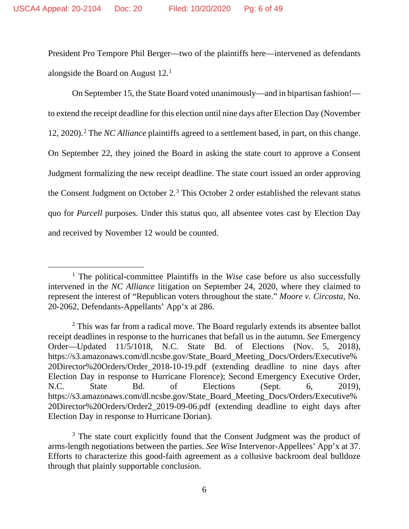President Pro Tempore Phil Berger—two of the plaintiffs here—intervened as defendants alongside the Board on August 12.1

On September 15, the State Board voted unanimously—and in bipartisan fashion! to extend the receipt deadline for this election until nine days after Election Day (November 12, 2020).2 The *NC Alliance* plaintiffs agreed to a settlement based, in part, on this change. On September 22, they joined the Board in asking the state court to approve a Consent Judgment formalizing the new receipt deadline. The state court issued an order approving the Consent Judgment on October 2.3 This October 2 order established the relevant status quo for *Purcell* purposes. Under this status quo, all absentee votes cast by Election Day and received by November 12 would be counted.

<sup>&</sup>lt;sup>1</sup> The political-committee Plaintiffs in the *Wise* case before us also successfully intervened in the *NC Alliance* litigation on September 24, 2020, where they claimed to represent the interest of "Republican voters throughout the state." *Moore v. Circosta*, No. 20-2062, Defendants-Appellants' App'x at 286.

 $2$  This was far from a radical move. The Board regularly extends its absentee ballot receipt deadlines in response to the hurricanes that befall us in the autumn. *See* Emergency Order—Updated 11/5/1018, N.C. State Bd. of Elections (Nov. 5, 2018), https://s3.amazonaws.com/dl.ncsbe.gov/State\_Board\_Meeting\_Docs/Orders/Executive% 20Director%20Orders/Order\_2018-10-19.pdf (extending deadline to nine days after Election Day in response to Hurricane Florence); Second Emergency Executive Order, N.C. State Bd. of Elections (Sept. 6, 2019), https://s3.amazonaws.com/dl.ncsbe.gov/State\_Board\_Meeting\_Docs/Orders/Executive% 20Director%20Orders/Order2\_2019-09-06.pdf (extending deadline to eight days after Election Day in response to Hurricane Dorian).

<sup>&</sup>lt;sup>3</sup> The state court explicitly found that the Consent Judgment was the product of arms-length negotiations between the parties. *See Wise* Intervenor-Appellees' App'x at 37. Efforts to characterize this good-faith agreement as a collusive backroom deal bulldoze through that plainly supportable conclusion.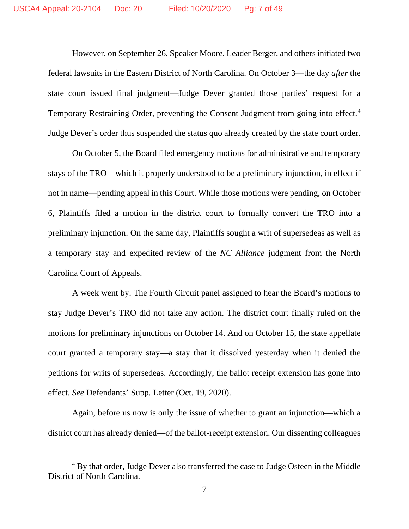However, on September 26, Speaker Moore, Leader Berger, and others initiated two federal lawsuits in the Eastern District of North Carolina. On October 3—the day *after* the state court issued final judgment—Judge Dever granted those parties' request for a Temporary Restraining Order, preventing the Consent Judgment from going into effect.<sup>4</sup> Judge Dever's order thus suspended the status quo already created by the state court order.

On October 5, the Board filed emergency motions for administrative and temporary stays of the TRO—which it properly understood to be a preliminary injunction, in effect if not in name—pending appeal in this Court. While those motions were pending, on October 6, Plaintiffs filed a motion in the district court to formally convert the TRO into a preliminary injunction. On the same day, Plaintiffs sought a writ of supersedeas as well as a temporary stay and expedited review of the *NC Alliance* judgment from the North Carolina Court of Appeals.

A week went by. The Fourth Circuit panel assigned to hear the Board's motions to stay Judge Dever's TRO did not take any action. The district court finally ruled on the motions for preliminary injunctions on October 14. And on October 15, the state appellate court granted a temporary stay—a stay that it dissolved yesterday when it denied the petitions for writs of supersedeas. Accordingly, the ballot receipt extension has gone into effect. *See* Defendants' Supp. Letter (Oct. 19, 2020).

Again, before us now is only the issue of whether to grant an injunction—which a district court has already denied—of the ballot-receipt extension. Our dissenting colleagues

<sup>&</sup>lt;sup>4</sup> By that order, Judge Dever also transferred the case to Judge Osteen in the Middle District of North Carolina.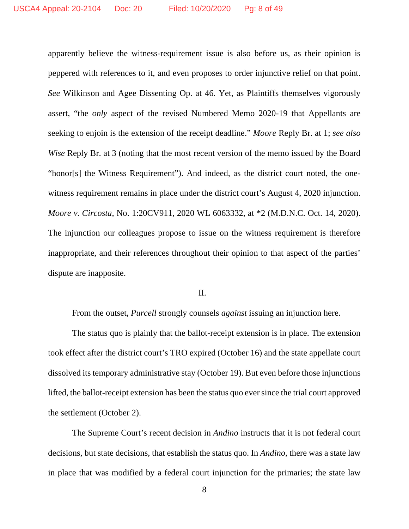apparently believe the witness-requirement issue is also before us, as their opinion is peppered with references to it, and even proposes to order injunctive relief on that point. *See* Wilkinson and Agee Dissenting Op. at 46. Yet, as Plaintiffs themselves vigorously assert, "the *only* aspect of the revised Numbered Memo 2020-19 that Appellants are seeking to enjoin is the extension of the receipt deadline." *Moore* Reply Br. at 1; *see also Wise* Reply Br. at 3 (noting that the most recent version of the memo issued by the Board "honor[s] the Witness Requirement"). And indeed, as the district court noted, the onewitness requirement remains in place under the district court's August 4, 2020 injunction. *Moore v. Circosta*, No. 1:20CV911, 2020 WL 6063332, at \*2 (M.D.N.C. Oct. 14, 2020). The injunction our colleagues propose to issue on the witness requirement is therefore inappropriate, and their references throughout their opinion to that aspect of the parties' dispute are inapposite.

### II.

From the outset, *Purcell* strongly counsels *against* issuing an injunction here.

The status quo is plainly that the ballot-receipt extension is in place. The extension took effect after the district court's TRO expired (October 16) and the state appellate court dissolved its temporary administrative stay (October 19). But even before those injunctions lifted, the ballot-receipt extension has been the status quo ever since the trial court approved the settlement (October 2).

The Supreme Court's recent decision in *Andino* instructs that it is not federal court decisions, but state decisions, that establish the status quo. In *Andino*, there was a state law in place that was modified by a federal court injunction for the primaries; the state law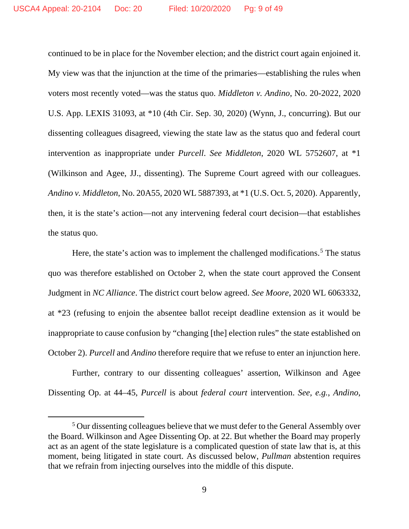continued to be in place for the November election; and the district court again enjoined it. My view was that the injunction at the time of the primaries—establishing the rules when voters most recently voted—was the status quo. *Middleton v. Andino*, No. 20-2022, 2020 U.S. App. LEXIS 31093, at \*10 (4th Cir. Sep. 30, 2020) (Wynn, J., concurring). But our dissenting colleagues disagreed, viewing the state law as the status quo and federal court intervention as inappropriate under *Purcell*. *See Middleton*, 2020 WL 5752607, at \*1 (Wilkinson and Agee, JJ., dissenting). The Supreme Court agreed with our colleagues. *Andino v. Middleton*, No. 20A55, 2020 WL 5887393, at \*1 (U.S. Oct. 5, 2020). Apparently, then, it is the state's action—not any intervening federal court decision—that establishes the status quo.

Here, the state's action was to implement the challenged modifications.<sup>5</sup> The status quo was therefore established on October 2, when the state court approved the Consent Judgment in *NC Alliance*. The district court below agreed. *See Moore*, 2020 WL 6063332, at \*23 (refusing to enjoin the absentee ballot receipt deadline extension as it would be inappropriate to cause confusion by "changing [the] election rules" the state established on October 2). *Purcell* and *Andino* therefore require that we refuse to enter an injunction here.

Further, contrary to our dissenting colleagues' assertion, Wilkinson and Agee Dissenting Op. at 44–45, *Purcell* is about *federal court* intervention. *See, e.g.*, *Andino*,

<sup>&</sup>lt;sup>5</sup> Our dissenting colleagues believe that we must defer to the General Assembly over the Board. Wilkinson and Agee Dissenting Op. at 22. But whether the Board may properly act as an agent of the state legislature is a complicated question of state law that is, at this moment, being litigated in state court. As discussed below, *Pullman* abstention requires that we refrain from injecting ourselves into the middle of this dispute.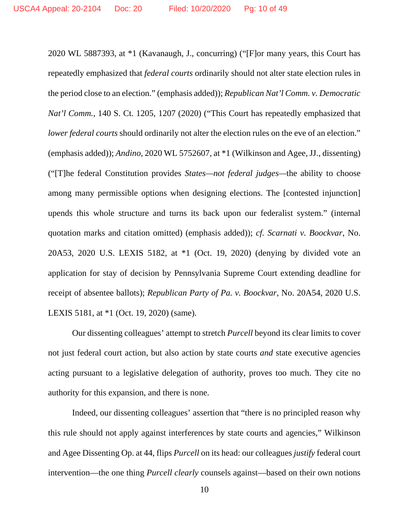2020 WL 5887393, at \*1 (Kavanaugh, J., concurring) ("[F]or many years, this Court has repeatedly emphasized that *federal courts* ordinarily should not alter state election rules in the period close to an election." (emphasis added)); *Republican Nat'l Comm. v. Democratic Nat'l Comm.*, 140 S. Ct. 1205, 1207 (2020) ("This Court has repeatedly emphasized that *lower federal courts* should ordinarily not alter the election rules on the eve of an election." (emphasis added)); *Andino*, 2020 WL 5752607, at \*1 (Wilkinson and Agee, JJ., dissenting) ("[T]he federal Constitution provides *States—not federal judges—*the ability to choose among many permissible options when designing elections. The [contested injunction] upends this whole structure and turns its back upon our federalist system." (internal quotation marks and citation omitted) (emphasis added)); *cf. Scarnati v. Boockvar*, No. 20A53, 2020 U.S. LEXIS 5182, at \*1 (Oct. 19, 2020) (denying by divided vote an application for stay of decision by Pennsylvania Supreme Court extending deadline for receipt of absentee ballots); *Republican Party of Pa. v. Boockvar*, No. 20A54, 2020 U.S. LEXIS 5181, at \*1 (Oct. 19, 2020) (same).

Our dissenting colleagues' attempt to stretch *Purcell* beyond its clear limits to cover not just federal court action, but also action by state courts *and* state executive agencies acting pursuant to a legislative delegation of authority, proves too much. They cite no authority for this expansion, and there is none.

Indeed, our dissenting colleagues' assertion that "there is no principled reason why this rule should not apply against interferences by state courts and agencies," Wilkinson and Agee Dissenting Op. at 44, flips *Purcell* on its head: our colleagues *justify* federal court intervention—the one thing *Purcell clearly* counsels against—based on their own notions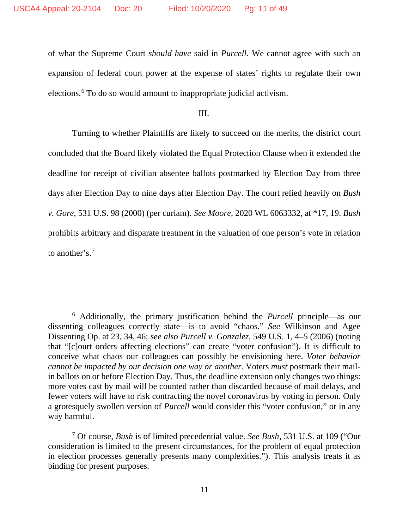of what the Supreme Court *should have* said in *Purcell*. We cannot agree with such an expansion of federal court power at the expense of states' rights to regulate their own elections.6 To do so would amount to inappropriate judicial activism.

III.

Turning to whether Plaintiffs are likely to succeed on the merits, the district court concluded that the Board likely violated the Equal Protection Clause when it extended the deadline for receipt of civilian absentee ballots postmarked by Election Day from three days after Election Day to nine days after Election Day. The court relied heavily on *Bush v. Gore*, 531 U.S. 98 (2000) (per curiam). *See Moore*, 2020 WL 6063332, at \*17, 19. *Bush* prohibits arbitrary and disparate treatment in the valuation of one person's vote in relation to another's.7

<sup>6</sup> Additionally, the primary justification behind the *Purcell* principle—as our dissenting colleagues correctly state—is to avoid "chaos." *See* Wilkinson and Agee Dissenting Op. at 23, 34, 46; *see also Purcell v. Gonzalez*, 549 U.S. 1, 4–5 (2006) (noting that "[c]ourt orders affecting elections" can create "voter confusion"). It is difficult to conceive what chaos our colleagues can possibly be envisioning here. *Voter behavior cannot be impacted by our decision one way or another.* Voters *must* postmark their mailin ballots on or before Election Day. Thus, the deadline extension only changes two things: more votes cast by mail will be counted rather than discarded because of mail delays, and fewer voters will have to risk contracting the novel coronavirus by voting in person. Only a grotesquely swollen version of *Purcell* would consider this "voter confusion," or in any way harmful.

<sup>7</sup> Of course, *Bush* is of limited precedential value. *See Bush*, 531 U.S. at 109 ("Our consideration is limited to the present circumstances, for the problem of equal protection in election processes generally presents many complexities."). This analysis treats it as binding for present purposes.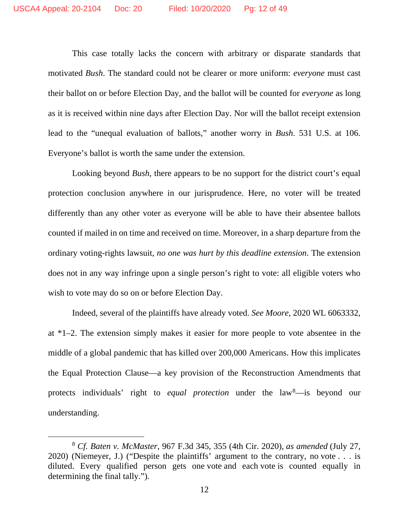This case totally lacks the concern with arbitrary or disparate standards that motivated *Bush*. The standard could not be clearer or more uniform: *everyone* must cast their ballot on or before Election Day, and the ballot will be counted for *everyone* as long as it is received within nine days after Election Day. Nor will the ballot receipt extension lead to the "unequal evaluation of ballots," another worry in *Bush*. 531 U.S. at 106. Everyone's ballot is worth the same under the extension.

Looking beyond *Bush*, there appears to be no support for the district court's equal protection conclusion anywhere in our jurisprudence. Here, no voter will be treated differently than any other voter as everyone will be able to have their absentee ballots counted if mailed in on time and received on time. Moreover, in a sharp departure from the ordinary voting-rights lawsuit, *no one was hurt by this deadline extension*. The extension does not in any way infringe upon a single person's right to vote: all eligible voters who wish to vote may do so on or before Election Day.

Indeed, several of the plaintiffs have already voted. *See Moore*, 2020 WL 6063332, at \*1–2. The extension simply makes it easier for more people to vote absentee in the middle of a global pandemic that has killed over 200,000 Americans. How this implicates the Equal Protection Clause—a key provision of the Reconstruction Amendments that protects individuals' right to *equal protection* under the law<sup>8</sup>—is beyond our understanding.

<sup>8</sup> *Cf. Baten v. McMaster*, 967 F.3d 345, 355 (4th Cir. 2020), *as amended* (July 27, 2020) (Niemeyer, J.) ("Despite the plaintiffs' argument to the contrary, no vote . . . is diluted. Every qualified person gets one vote and each vote is counted equally in determining the final tally.").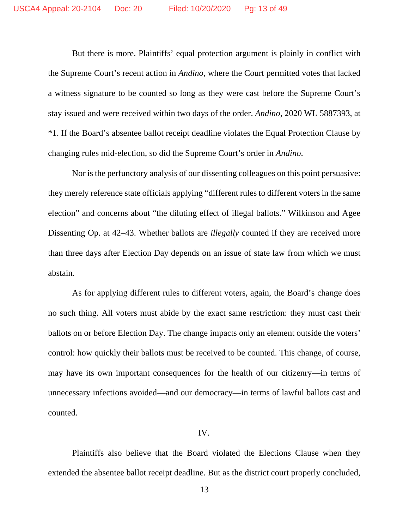But there is more. Plaintiffs' equal protection argument is plainly in conflict with the Supreme Court's recent action in *Andino*, where the Court permitted votes that lacked a witness signature to be counted so long as they were cast before the Supreme Court's stay issued and were received within two days of the order. *Andino*, 2020 WL 5887393, at \*1. If the Board's absentee ballot receipt deadline violates the Equal Protection Clause by changing rules mid-election, so did the Supreme Court's order in *Andino*.

Nor is the perfunctory analysis of our dissenting colleagues on this point persuasive: they merely reference state officials applying "different rules to different voters in the same election" and concerns about "the diluting effect of illegal ballots." Wilkinson and Agee Dissenting Op. at 42–43. Whether ballots are *illegally* counted if they are received more than three days after Election Day depends on an issue of state law from which we must abstain.

As for applying different rules to different voters, again, the Board's change does no such thing. All voters must abide by the exact same restriction: they must cast their ballots on or before Election Day. The change impacts only an element outside the voters' control: how quickly their ballots must be received to be counted. This change, of course, may have its own important consequences for the health of our citizenry—in terms of unnecessary infections avoided—and our democracy—in terms of lawful ballots cast and counted.

#### IV.

Plaintiffs also believe that the Board violated the Elections Clause when they extended the absentee ballot receipt deadline. But as the district court properly concluded,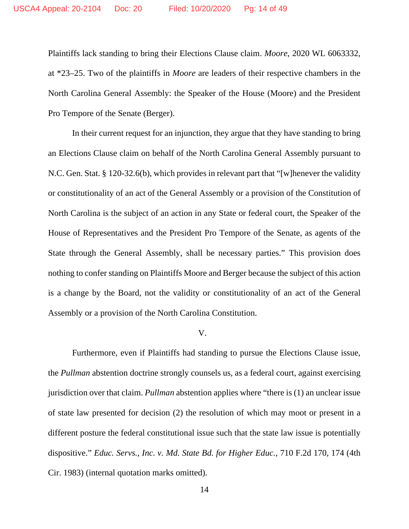Plaintiffs lack standing to bring their Elections Clause claim. *Moore*, 2020 WL 6063332, at \*23–25. Two of the plaintiffs in *Moore* are leaders of their respective chambers in the North Carolina General Assembly: the Speaker of the House (Moore) and the President Pro Tempore of the Senate (Berger).

In their current request for an injunction, they argue that they have standing to bring an Elections Clause claim on behalf of the North Carolina General Assembly pursuant to N.C. Gen. Stat. § 120-32.6(b), which provides in relevant part that "[w]henever the validity or constitutionality of an act of the General Assembly or a provision of the Constitution of North Carolina is the subject of an action in any State or federal court, the Speaker of the House of Representatives and the President Pro Tempore of the Senate, as agents of the State through the General Assembly, shall be necessary parties." This provision does nothing to confer standing on Plaintiffs Moore and Berger because the subject of this action is a change by the Board, not the validity or constitutionality of an act of the General Assembly or a provision of the North Carolina Constitution.

#### V.

Furthermore, even if Plaintiffs had standing to pursue the Elections Clause issue, the *Pullman* abstention doctrine strongly counsels us, as a federal court, against exercising jurisdiction over that claim. *Pullman* abstention applies where "there is (1) an unclear issue of state law presented for decision (2) the resolution of which may moot or present in a different posture the federal constitutional issue such that the state law issue is potentially dispositive." *Educ. Servs., Inc. v. Md. State Bd. for Higher Educ.*, 710 F.2d 170, 174 (4th Cir. 1983) (internal quotation marks omitted).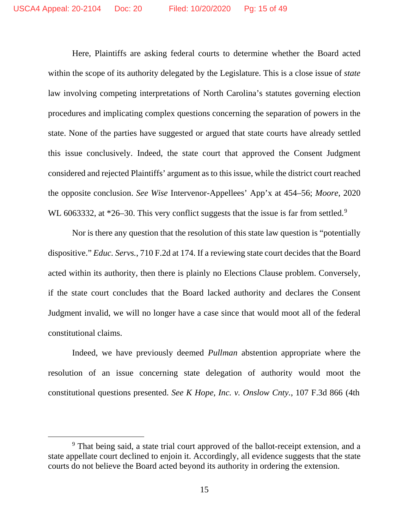Here, Plaintiffs are asking federal courts to determine whether the Board acted within the scope of its authority delegated by the Legislature. This is a close issue of *state* law involving competing interpretations of North Carolina's statutes governing election procedures and implicating complex questions concerning the separation of powers in the state. None of the parties have suggested or argued that state courts have already settled this issue conclusively. Indeed, the state court that approved the Consent Judgment considered and rejected Plaintiffs' argument as to this issue, while the district court reached the opposite conclusion. *See Wise* Intervenor-Appellees' App'x at 454–56; *Moore*, 2020 WL 6063332, at  $*26-30$ . This very conflict suggests that the issue is far from settled.<sup>9</sup>

Nor is there any question that the resolution of this state law question is "potentially dispositive." *Educ. Servs.*, 710 F.2d at 174. If a reviewing state court decides that the Board acted within its authority, then there is plainly no Elections Clause problem. Conversely, if the state court concludes that the Board lacked authority and declares the Consent Judgment invalid, we will no longer have a case since that would moot all of the federal constitutional claims.

Indeed, we have previously deemed *Pullman* abstention appropriate where the resolution of an issue concerning state delegation of authority would moot the constitutional questions presented. *See K Hope, Inc. v. Onslow Cnty.*, 107 F.3d 866 (4th

<sup>9</sup> That being said, a state trial court approved of the ballot-receipt extension, and a state appellate court declined to enjoin it. Accordingly, all evidence suggests that the state courts do not believe the Board acted beyond its authority in ordering the extension.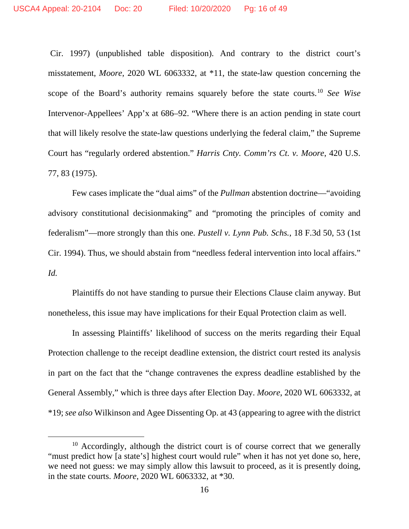Cir. 1997) (unpublished table disposition). And contrary to the district court's misstatement, *Moore*, 2020 WL 6063332, at \*11, the state-law question concerning the scope of the Board's authority remains squarely before the state courts.10 *See Wise*  Intervenor-Appellees' App'x at 686–92. "Where there is an action pending in state court that will likely resolve the state-law questions underlying the federal claim," the Supreme Court has "regularly ordered abstention." *Harris Cnty. Comm'rs Ct. v. Moore*, 420 U.S. 77, 83 (1975).

Few cases implicate the "dual aims" of the *Pullman* abstention doctrine—"avoiding advisory constitutional decisionmaking" and "promoting the principles of comity and federalism"—more strongly than this one. *Pustell v. Lynn Pub. Schs.*, 18 F.3d 50, 53 (1st Cir. 1994). Thus, we should abstain from "needless federal intervention into local affairs." *Id.*

Plaintiffs do not have standing to pursue their Elections Clause claim anyway. But nonetheless, this issue may have implications for their Equal Protection claim as well.

In assessing Plaintiffs' likelihood of success on the merits regarding their Equal Protection challenge to the receipt deadline extension, the district court rested its analysis in part on the fact that the "change contravenes the express deadline established by the General Assembly," which is three days after Election Day. *Moore*, 2020 WL 6063332, at \*19; *see also* Wilkinson and Agee Dissenting Op. at 43 (appearing to agree with the district

 $10$  Accordingly, although the district court is of course correct that we generally "must predict how [a state's] highest court would rule" when it has not yet done so, here, we need not guess: we may simply allow this lawsuit to proceed, as it is presently doing, in the state courts. *Moore*, 2020 WL 6063332, at \*30.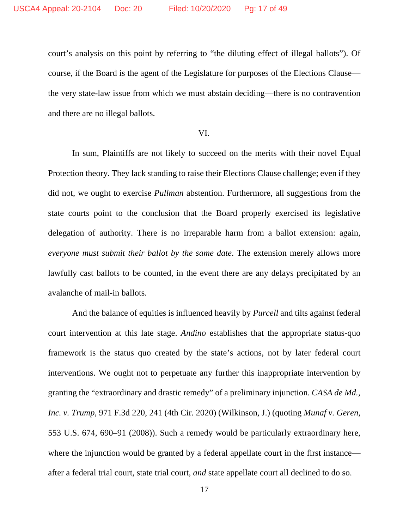court's analysis on this point by referring to "the diluting effect of illegal ballots"). Of course, if the Board is the agent of the Legislature for purposes of the Elections Clause the very state-law issue from which we must abstain deciding—there is no contravention and there are no illegal ballots.

## VI.

In sum, Plaintiffs are not likely to succeed on the merits with their novel Equal Protection theory. They lack standing to raise their Elections Clause challenge; even if they did not, we ought to exercise *Pullman* abstention. Furthermore, all suggestions from the state courts point to the conclusion that the Board properly exercised its legislative delegation of authority. There is no irreparable harm from a ballot extension: again, *everyone must submit their ballot by the same date*. The extension merely allows more lawfully cast ballots to be counted, in the event there are any delays precipitated by an avalanche of mail-in ballots.

And the balance of equities is influenced heavily by *Purcell* and tilts against federal court intervention at this late stage. *Andino* establishes that the appropriate status-quo framework is the status quo created by the state's actions, not by later federal court interventions. We ought not to perpetuate any further this inappropriate intervention by granting the "extraordinary and drastic remedy" of a preliminary injunction. *CASA de Md., Inc. v. Trump*, 971 F.3d 220, 241 (4th Cir. 2020) (Wilkinson, J.) (quoting *Munaf v. Geren*, 553 U.S. 674, 690–91 (2008)). Such a remedy would be particularly extraordinary here, where the injunction would be granted by a federal appellate court in the first instance after a federal trial court, state trial court, *and* state appellate court all declined to do so.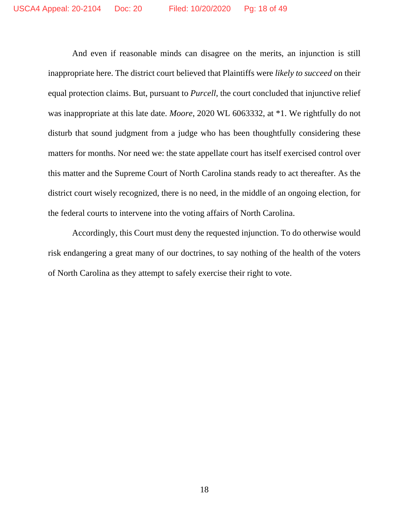And even if reasonable minds can disagree on the merits, an injunction is still inappropriate here. The district court believed that Plaintiffs were *likely to succeed* on their equal protection claims. But, pursuant to *Purcell*, the court concluded that injunctive relief was inappropriate at this late date. *Moore*, 2020 WL 6063332, at \*1. We rightfully do not disturb that sound judgment from a judge who has been thoughtfully considering these matters for months. Nor need we: the state appellate court has itself exercised control over this matter and the Supreme Court of North Carolina stands ready to act thereafter. As the district court wisely recognized, there is no need, in the middle of an ongoing election, for the federal courts to intervene into the voting affairs of North Carolina.

Accordingly, this Court must deny the requested injunction. To do otherwise would risk endangering a great many of our doctrines, to say nothing of the health of the voters of North Carolina as they attempt to safely exercise their right to vote.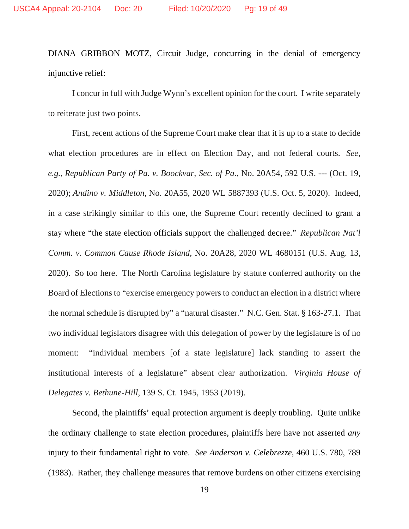DIANA GRIBBON MOTZ, Circuit Judge, concurring in the denial of emergency injunctive relief:

I concur in full with Judge Wynn's excellent opinion for the court. I write separately to reiterate just two points.

First, recent actions of the Supreme Court make clear that it is up to a state to decide what election procedures are in effect on Election Day, and not federal courts. *See, e.g.*, *Republican Party of Pa. v. Boockvar, Sec. of Pa.*, No. 20A54, 592 U.S. --- (Oct. 19, 2020); *Andino v. Middleton*, No. 20A55, 2020 WL 5887393 (U.S. Oct. 5, 2020). Indeed, in a case strikingly similar to this one, the Supreme Court recently declined to grant a stay where "the state election officials support the challenged decree." *Republican Nat'l Comm. v. Common Cause Rhode Island*, No. 20A28, 2020 WL 4680151 (U.S. Aug. 13, 2020). So too here. The North Carolina legislature by statute conferred authority on the Board of Elections to "exercise emergency powers to conduct an election in a district where the normal schedule is disrupted by" a "natural disaster." N.C. Gen. Stat. § 163-27.1. That two individual legislators disagree with this delegation of power by the legislature is of no moment: "individual members [of a state legislature] lack standing to assert the institutional interests of a legislature" absent clear authorization. *Virginia House of Delegates v. Bethune-Hill*, 139 S. Ct. 1945, 1953 (2019).

Second, the plaintiffs' equal protection argument is deeply troubling. Quite unlike the ordinary challenge to state election procedures, plaintiffs here have not asserted *any* injury to their fundamental right to vote. *See Anderson v. Celebrezze*, 460 U.S. 780, 789 (1983). Rather, they challenge measures that remove burdens on other citizens exercising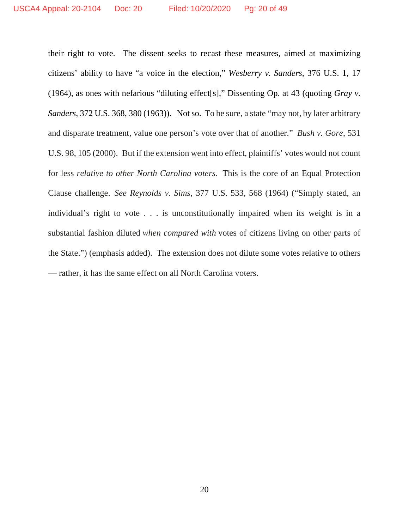their right to vote. The dissent seeks to recast these measures, aimed at maximizing citizens' ability to have "a voice in the election," *Wesberry v. Sanders*, 376 U.S. 1, 17 (1964), as ones with nefarious "diluting effect[s]," Dissenting Op. at 43 (quoting *Gray v. Sanders*, 372 U.S. 368, 380 (1963)). Not so. To be sure, a state "may not, by later arbitrary and disparate treatment, value one person's vote over that of another." *Bush v. Gore*, 531 U.S. 98, 105 (2000). But if the extension went into effect, plaintiffs' votes would not count for less *relative to other North Carolina voters.* This is the core of an Equal Protection Clause challenge. *See Reynolds v. Sims*, 377 U.S. 533, 568 (1964) ("Simply stated, an individual's right to vote . . . is unconstitutionally impaired when its weight is in a substantial fashion diluted *when compared with* votes of citizens living on other parts of the State.") (emphasis added). The extension does not dilute some votes relative to others — rather, it has the same effect on all North Carolina voters.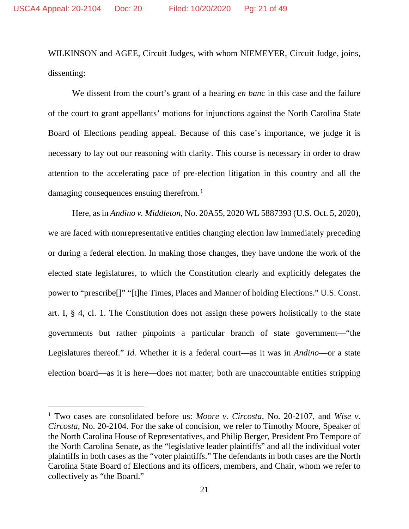WILKINSON and AGEE, Circuit Judges, with whom NIEMEYER, Circuit Judge, joins, dissenting:

We dissent from the court's grant of a hearing *en banc* in this case and the failure of the court to grant appellants' motions for injunctions against the North Carolina State Board of Elections pending appeal. Because of this case's importance, we judge it is necessary to lay out our reasoning with clarity. This course is necessary in order to draw attention to the accelerating pace of pre-election litigation in this country and all the damaging consequences ensuing therefrom.<sup>1</sup>

Here, as in *Andino v. Middleton*, No. 20A55, 2020 WL 5887393 (U.S. Oct. 5, 2020), we are faced with nonrepresentative entities changing election law immediately preceding or during a federal election. In making those changes, they have undone the work of the elected state legislatures, to which the Constitution clearly and explicitly delegates the power to "prescribe[]" "[t]he Times, Places and Manner of holding Elections." U.S. Const. art. I, § 4, cl. 1. The Constitution does not assign these powers holistically to the state governments but rather pinpoints a particular branch of state government—"the Legislatures thereof." *Id.* Whether it is a federal court—as it was in *Andino*—or a state election board—as it is here—does not matter; both are unaccountable entities stripping

<sup>1</sup> Two cases are consolidated before us: *Moore v. Circosta*, No. 20-2107, and *Wise v. Circosta*, No. 20-2104. For the sake of concision, we refer to Timothy Moore, Speaker of the North Carolina House of Representatives, and Philip Berger, President Pro Tempore of the North Carolina Senate, as the "legislative leader plaintiffs" and all the individual voter plaintiffs in both cases as the "voter plaintiffs." The defendants in both cases are the North Carolina State Board of Elections and its officers, members, and Chair, whom we refer to collectively as "the Board."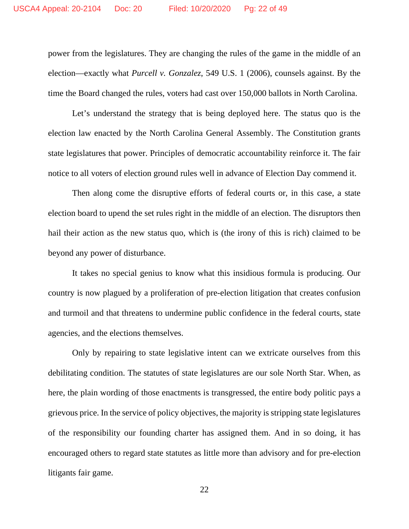power from the legislatures. They are changing the rules of the game in the middle of an election—exactly what *Purcell v. Gonzalez*, 549 U.S. 1 (2006), counsels against. By the time the Board changed the rules, voters had cast over 150,000 ballots in North Carolina.

Let's understand the strategy that is being deployed here. The status quo is the election law enacted by the North Carolina General Assembly. The Constitution grants state legislatures that power. Principles of democratic accountability reinforce it. The fair notice to all voters of election ground rules well in advance of Election Day commend it.

Then along come the disruptive efforts of federal courts or, in this case, a state election board to upend the set rules right in the middle of an election. The disruptors then hail their action as the new status quo, which is (the irony of this is rich) claimed to be beyond any power of disturbance.

It takes no special genius to know what this insidious formula is producing. Our country is now plagued by a proliferation of pre-election litigation that creates confusion and turmoil and that threatens to undermine public confidence in the federal courts, state agencies, and the elections themselves.

Only by repairing to state legislative intent can we extricate ourselves from this debilitating condition. The statutes of state legislatures are our sole North Star. When, as here, the plain wording of those enactments is transgressed, the entire body politic pays a grievous price. In the service of policy objectives, the majority is stripping state legislatures of the responsibility our founding charter has assigned them. And in so doing, it has encouraged others to regard state statutes as little more than advisory and for pre-election litigants fair game.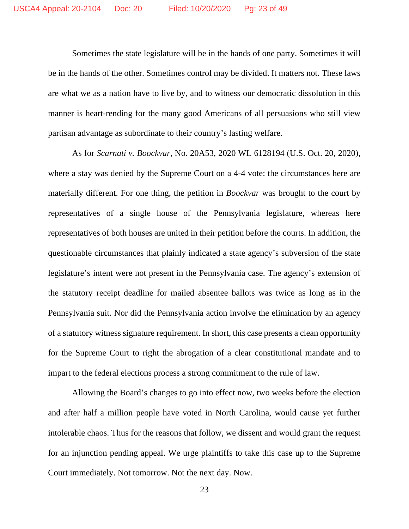Sometimes the state legislature will be in the hands of one party. Sometimes it will be in the hands of the other. Sometimes control may be divided. It matters not. These laws are what we as a nation have to live by, and to witness our democratic dissolution in this manner is heart-rending for the many good Americans of all persuasions who still view partisan advantage as subordinate to their country's lasting welfare.

As for *Scarnati v. Boockvar*, No. 20A53, 2020 WL 6128194 (U.S. Oct. 20, 2020), where a stay was denied by the Supreme Court on a 4-4 vote: the circumstances here are materially different. For one thing, the petition in *Boockvar* was brought to the court by representatives of a single house of the Pennsylvania legislature, whereas here representatives of both houses are united in their petition before the courts. In addition, the questionable circumstances that plainly indicated a state agency's subversion of the state legislature's intent were not present in the Pennsylvania case. The agency's extension of the statutory receipt deadline for mailed absentee ballots was twice as long as in the Pennsylvania suit. Nor did the Pennsylvania action involve the elimination by an agency of a statutory witness signature requirement. In short, this case presents a clean opportunity for the Supreme Court to right the abrogation of a clear constitutional mandate and to impart to the federal elections process a strong commitment to the rule of law.

Allowing the Board's changes to go into effect now, two weeks before the election and after half a million people have voted in North Carolina, would cause yet further intolerable chaos. Thus for the reasons that follow, we dissent and would grant the request for an injunction pending appeal. We urge plaintiffs to take this case up to the Supreme Court immediately. Not tomorrow. Not the next day. Now.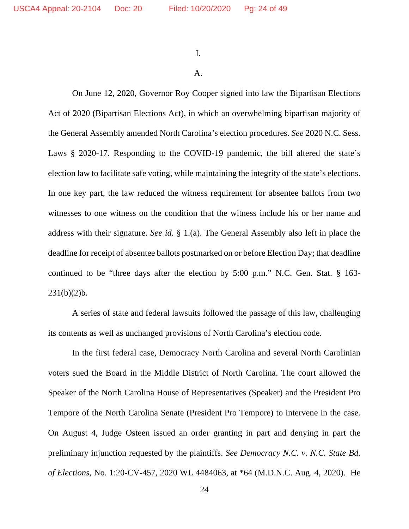I.

## A.

On June 12, 2020, Governor Roy Cooper signed into law the Bipartisan Elections Act of 2020 (Bipartisan Elections Act), in which an overwhelming bipartisan majority of the General Assembly amended North Carolina's election procedures. *See* 2020 N.C. Sess. Laws § 2020-17. Responding to the COVID-19 pandemic, the bill altered the state's election law to facilitate safe voting, while maintaining the integrity of the state's elections. In one key part, the law reduced the witness requirement for absentee ballots from two witnesses to one witness on the condition that the witness include his or her name and address with their signature. *See id.* § 1.(a). The General Assembly also left in place the deadline for receipt of absentee ballots postmarked on or before Election Day; that deadline continued to be "three days after the election by 5:00 p.m." N.C. Gen. Stat. § 163-  $231(b)(2)b.$ 

A series of state and federal lawsuits followed the passage of this law, challenging its contents as well as unchanged provisions of North Carolina's election code.

In the first federal case, Democracy North Carolina and several North Carolinian voters sued the Board in the Middle District of North Carolina. The court allowed the Speaker of the North Carolina House of Representatives (Speaker) and the President Pro Tempore of the North Carolina Senate (President Pro Tempore) to intervene in the case. On August 4, Judge Osteen issued an order granting in part and denying in part the preliminary injunction requested by the plaintiffs. *See Democracy N.C. v. N.C. State Bd. of Elections*, No. 1:20-CV-457, 2020 WL 4484063, at \*64 (M.D.N.C. Aug. 4, 2020). He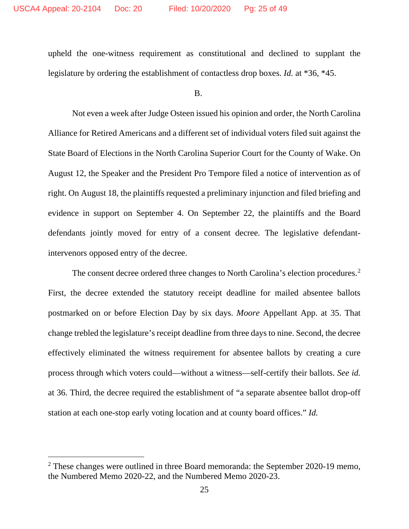upheld the one-witness requirement as constitutional and declined to supplant the legislature by ordering the establishment of contactless drop boxes. *Id.* at \*36, \*45.

B.

Not even a week after Judge Osteen issued his opinion and order, the North Carolina Alliance for Retired Americans and a different set of individual voters filed suit against the State Board of Elections in the North Carolina Superior Court for the County of Wake. On August 12, the Speaker and the President Pro Tempore filed a notice of intervention as of right. On August 18, the plaintiffs requested a preliminary injunction and filed briefing and evidence in support on September 4. On September 22, the plaintiffs and the Board defendants jointly moved for entry of a consent decree. The legislative defendantintervenors opposed entry of the decree.

The consent decree ordered three changes to North Carolina's election procedures.<sup>2</sup> First, the decree extended the statutory receipt deadline for mailed absentee ballots postmarked on or before Election Day by six days. *Moore* Appellant App. at 35. That change trebled the legislature's receipt deadline from three days to nine. Second, the decree effectively eliminated the witness requirement for absentee ballots by creating a cure process through which voters could—without a witness—self-certify their ballots. *See id.* at 36. Third, the decree required the establishment of "a separate absentee ballot drop-off station at each one-stop early voting location and at county board offices." *Id.*

 $2$  These changes were outlined in three Board memoranda: the September 2020-19 memo, the Numbered Memo 2020-22, and the Numbered Memo 2020-23.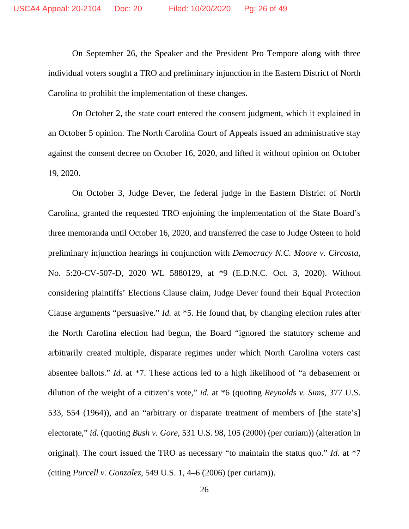On September 26, the Speaker and the President Pro Tempore along with three individual voters sought a TRO and preliminary injunction in the Eastern District of North Carolina to prohibit the implementation of these changes.

On October 2, the state court entered the consent judgment, which it explained in an October 5 opinion. The North Carolina Court of Appeals issued an administrative stay against the consent decree on October 16, 2020, and lifted it without opinion on October 19, 2020.

On October 3, Judge Dever, the federal judge in the Eastern District of North Carolina, granted the requested TRO enjoining the implementation of the State Board's three memoranda until October 16, 2020, and transferred the case to Judge Osteen to hold preliminary injunction hearings in conjunction with *Democracy N.C. Moore v. Circosta*, No. 5:20-CV-507-D, 2020 WL 5880129, at \*9 (E.D.N.C. Oct. 3, 2020). Without considering plaintiffs' Elections Clause claim, Judge Dever found their Equal Protection Clause arguments "persuasive." *Id.* at \*5. He found that, by changing election rules after the North Carolina election had begun, the Board "ignored the statutory scheme and arbitrarily created multiple, disparate regimes under which North Carolina voters cast absentee ballots." *Id.* at \*7. These actions led to a high likelihood of "a debasement or dilution of the weight of a citizen's vote," *id.* at \*6 (quoting *Reynolds v. Sims*, 377 U.S. 533, 554 (1964)), and an "arbitrary or disparate treatment of members of [the state's] electorate," *id.* (quoting *Bush v. Gore*, 531 U.S. 98, 105 (2000) (per curiam)) (alteration in original). The court issued the TRO as necessary "to maintain the status quo." *Id.* at \*7 (citing *Purcell v. Gonzalez*, 549 U.S. 1, 4–6 (2006) (per curiam)).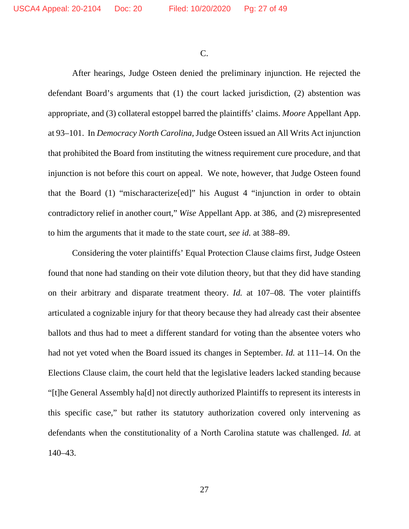C.

After hearings, Judge Osteen denied the preliminary injunction. He rejected the defendant Board's arguments that (1) the court lacked jurisdiction, (2) abstention was appropriate, and (3) collateral estoppel barred the plaintiffs' claims. *Moore* Appellant App. at 93–101. In *Democracy North Carolina*, Judge Osteen issued an All Writs Act injunction that prohibited the Board from instituting the witness requirement cure procedure, and that injunction is not before this court on appeal. We note, however, that Judge Osteen found that the Board (1) "mischaracterize[ed]" his August 4 "injunction in order to obtain contradictory relief in another court," *Wise* Appellant App. at 386, and (2) misrepresented to him the arguments that it made to the state court, *see id.* at 388–89.

Considering the voter plaintiffs' Equal Protection Clause claims first, Judge Osteen found that none had standing on their vote dilution theory, but that they did have standing on their arbitrary and disparate treatment theory. *Id.* at 107–08. The voter plaintiffs articulated a cognizable injury for that theory because they had already cast their absentee ballots and thus had to meet a different standard for voting than the absentee voters who had not yet voted when the Board issued its changes in September. *Id.* at 111–14. On the Elections Clause claim, the court held that the legislative leaders lacked standing because "[t]he General Assembly ha[d] not directly authorized Plaintiffs to represent its interests in this specific case," but rather its statutory authorization covered only intervening as defendants when the constitutionality of a North Carolina statute was challenged. *Id.* at 140–43.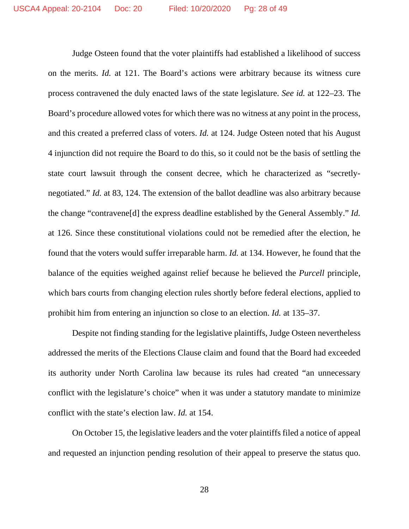Judge Osteen found that the voter plaintiffs had established a likelihood of success on the merits. *Id.* at 121. The Board's actions were arbitrary because its witness cure process contravened the duly enacted laws of the state legislature. *See id.* at 122–23. The Board's procedure allowed votes for which there was no witness at any point in the process, and this created a preferred class of voters. *Id.* at 124. Judge Osteen noted that his August 4 injunction did not require the Board to do this, so it could not be the basis of settling the state court lawsuit through the consent decree, which he characterized as "secretlynegotiated." *Id.* at 83, 124. The extension of the ballot deadline was also arbitrary because the change "contravene[d] the express deadline established by the General Assembly." *Id.* at 126. Since these constitutional violations could not be remedied after the election, he found that the voters would suffer irreparable harm. *Id.* at 134. However, he found that the balance of the equities weighed against relief because he believed the *Purcell* principle, which bars courts from changing election rules shortly before federal elections, applied to prohibit him from entering an injunction so close to an election. *Id.* at 135–37.

Despite not finding standing for the legislative plaintiffs, Judge Osteen nevertheless addressed the merits of the Elections Clause claim and found that the Board had exceeded its authority under North Carolina law because its rules had created "an unnecessary conflict with the legislature's choice" when it was under a statutory mandate to minimize conflict with the state's election law. *Id.* at 154.

On October 15, the legislative leaders and the voter plaintiffs filed a notice of appeal and requested an injunction pending resolution of their appeal to preserve the status quo.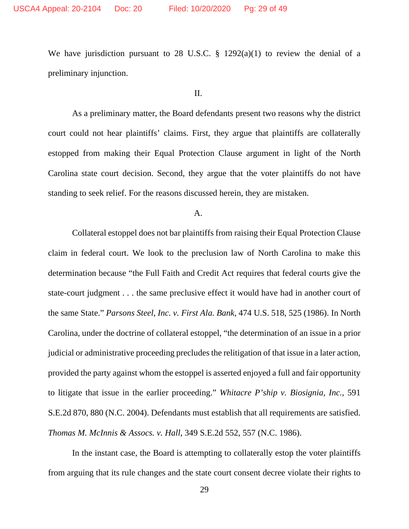We have jurisdiction pursuant to 28 U.S.C.  $\S$  1292(a)(1) to review the denial of a preliminary injunction.

#### II.

As a preliminary matter, the Board defendants present two reasons why the district court could not hear plaintiffs' claims. First, they argue that plaintiffs are collaterally estopped from making their Equal Protection Clause argument in light of the North Carolina state court decision. Second, they argue that the voter plaintiffs do not have standing to seek relief. For the reasons discussed herein, they are mistaken.

## A.

Collateral estoppel does not bar plaintiffs from raising their Equal Protection Clause claim in federal court. We look to the preclusion law of North Carolina to make this determination because "the Full Faith and Credit Act requires that federal courts give the state-court judgment . . . the same preclusive effect it would have had in another court of the same State." *Parsons Steel, Inc. v. First Ala. Bank*, 474 U.S. 518, 525 (1986). In North Carolina, under the doctrine of collateral estoppel, "the determination of an issue in a prior judicial or administrative proceeding precludes the relitigation of that issue in a later action, provided the party against whom the estoppel is asserted enjoyed a full and fair opportunity to litigate that issue in the earlier proceeding." *Whitacre P'ship v. Biosignia, Inc.*, 591 S.E.2d 870, 880 (N.C. 2004). Defendants must establish that all requirements are satisfied. *Thomas M. McInnis & Assocs. v. Hall*, 349 S.E.2d 552, 557 (N.C. 1986).

In the instant case, the Board is attempting to collaterally estop the voter plaintiffs from arguing that its rule changes and the state court consent decree violate their rights to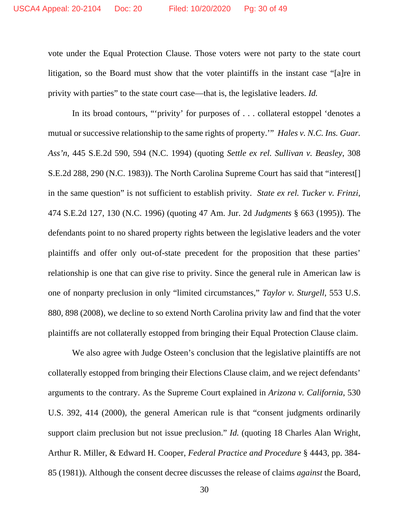vote under the Equal Protection Clause. Those voters were not party to the state court litigation, so the Board must show that the voter plaintiffs in the instant case "[a]re in privity with parties" to the state court case—that is, the legislative leaders. *Id.*

In its broad contours, "'privity' for purposes of . . . collateral estoppel 'denotes a mutual or successive relationship to the same rights of property.'" *Hales v. N.C. Ins. Guar. Ass'n*, 445 S.E.2d 590, 594 (N.C. 1994) (quoting *Settle ex rel. Sullivan v. Beasley*, 308 S.E.2d 288, 290 (N.C. 1983)). The North Carolina Supreme Court has said that "interest[] in the same question" is not sufficient to establish privity. *State ex rel. Tucker v. Frinzi*, 474 S.E.2d 127, 130 (N.C. 1996) (quoting 47 Am. Jur. 2d *Judgments* § 663 (1995)). The defendants point to no shared property rights between the legislative leaders and the voter plaintiffs and offer only out-of-state precedent for the proposition that these parties' relationship is one that can give rise to privity. Since the general rule in American law is one of nonparty preclusion in only "limited circumstances," *Taylor v. Sturgell*, 553 U.S. 880, 898 (2008), we decline to so extend North Carolina privity law and find that the voter plaintiffs are not collaterally estopped from bringing their Equal Protection Clause claim.

We also agree with Judge Osteen's conclusion that the legislative plaintiffs are not collaterally estopped from bringing their Elections Clause claim, and we reject defendants' arguments to the contrary. As the Supreme Court explained in *Arizona v. California*, 530 U.S. 392, 414 (2000), the general American rule is that "consent judgments ordinarily support claim preclusion but not issue preclusion." *Id.* (quoting 18 Charles Alan Wright, Arthur R. Miller, & Edward H. Cooper, *Federal Practice and Procedure* § 4443, pp. 384- 85 (1981)). Although the consent decree discusses the release of claims *against* the Board,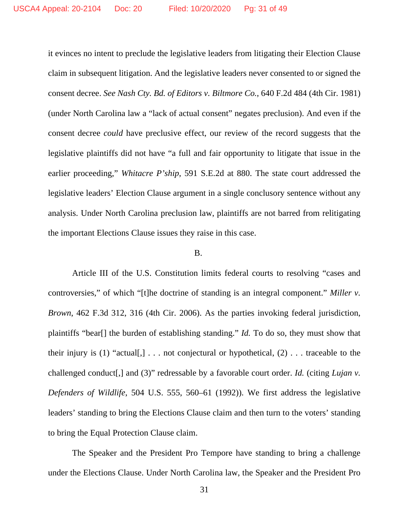it evinces no intent to preclude the legislative leaders from litigating their Election Clause claim in subsequent litigation. And the legislative leaders never consented to or signed the consent decree. *See Nash Cty. Bd. of Editors v. Biltmore Co.*, 640 F.2d 484 (4th Cir. 1981) (under North Carolina law a "lack of actual consent" negates preclusion). And even if the consent decree *could* have preclusive effect, our review of the record suggests that the legislative plaintiffs did not have "a full and fair opportunity to litigate that issue in the earlier proceeding," *Whitacre P'ship*, 591 S.E.2d at 880. The state court addressed the legislative leaders' Election Clause argument in a single conclusory sentence without any analysis. Under North Carolina preclusion law, plaintiffs are not barred from relitigating the important Elections Clause issues they raise in this case.

#### B.

Article III of the U.S. Constitution limits federal courts to resolving "cases and controversies," of which "[t]he doctrine of standing is an integral component." *Miller v. Brown*, 462 F.3d 312, 316 (4th Cir. 2006). As the parties invoking federal jurisdiction, plaintiffs "bear[] the burden of establishing standing." *Id.* To do so, they must show that their injury is (1) "actual[,]  $\dots$  not conjectural or hypothetical, (2)  $\dots$  traceable to the challenged conduct[,] and (3)" redressable by a favorable court order. *Id.* (citing *Lujan v. Defenders of Wildlife*, 504 U.S. 555, 560–61 (1992)). We first address the legislative leaders' standing to bring the Elections Clause claim and then turn to the voters' standing to bring the Equal Protection Clause claim.

The Speaker and the President Pro Tempore have standing to bring a challenge under the Elections Clause. Under North Carolina law, the Speaker and the President Pro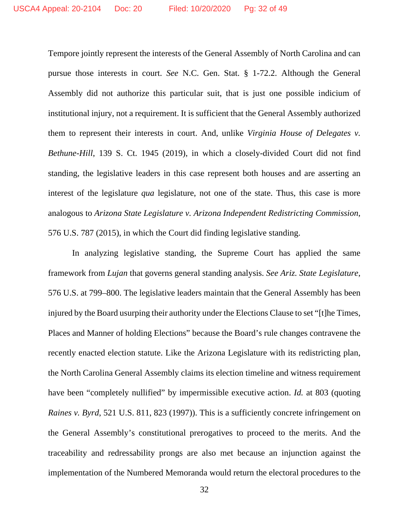Tempore jointly represent the interests of the General Assembly of North Carolina and can pursue those interests in court. *See* N.C. Gen. Stat. § 1-72.2. Although the General Assembly did not authorize this particular suit, that is just one possible indicium of institutional injury, not a requirement. It is sufficient that the General Assembly authorized them to represent their interests in court. And, unlike *Virginia House of Delegates v. Bethune-Hill*, 139 S. Ct. 1945 (2019), in which a closely-divided Court did not find standing, the legislative leaders in this case represent both houses and are asserting an interest of the legislature *qua* legislature, not one of the state. Thus, this case is more analogous to *Arizona State Legislature v. Arizona Independent Redistricting Commission*, 576 U.S. 787 (2015), in which the Court did finding legislative standing.

In analyzing legislative standing, the Supreme Court has applied the same framework from *Lujan* that governs general standing analysis. *See Ariz. State Legislature*, 576 U.S. at 799–800. The legislative leaders maintain that the General Assembly has been injured by the Board usurping their authority under the Elections Clause to set "[t]he Times, Places and Manner of holding Elections" because the Board's rule changes contravene the recently enacted election statute. Like the Arizona Legislature with its redistricting plan, the North Carolina General Assembly claims its election timeline and witness requirement have been "completely nullified" by impermissible executive action. *Id.* at 803 (quoting *Raines v. Byrd*, 521 U.S. 811, 823 (1997)). This is a sufficiently concrete infringement on the General Assembly's constitutional prerogatives to proceed to the merits. And the traceability and redressability prongs are also met because an injunction against the implementation of the Numbered Memoranda would return the electoral procedures to the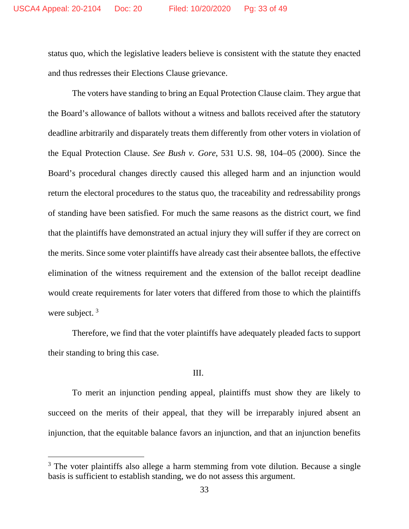status quo, which the legislative leaders believe is consistent with the statute they enacted and thus redresses their Elections Clause grievance.

The voters have standing to bring an Equal Protection Clause claim. They argue that the Board's allowance of ballots without a witness and ballots received after the statutory deadline arbitrarily and disparately treats them differently from other voters in violation of the Equal Protection Clause. *See Bush v. Gore*, 531 U.S. 98, 104–05 (2000). Since the Board's procedural changes directly caused this alleged harm and an injunction would return the electoral procedures to the status quo, the traceability and redressability prongs of standing have been satisfied. For much the same reasons as the district court, we find that the plaintiffs have demonstrated an actual injury they will suffer if they are correct on the merits. Since some voter plaintiffs have already cast their absentee ballots, the effective elimination of the witness requirement and the extension of the ballot receipt deadline would create requirements for later voters that differed from those to which the plaintiffs were subject.<sup>3</sup>

Therefore, we find that the voter plaintiffs have adequately pleaded facts to support their standing to bring this case.

## III.

To merit an injunction pending appeal, plaintiffs must show they are likely to succeed on the merits of their appeal, that they will be irreparably injured absent an injunction, that the equitable balance favors an injunction, and that an injunction benefits

 $3$  The voter plaintiffs also allege a harm stemming from vote dilution. Because a single basis is sufficient to establish standing, we do not assess this argument.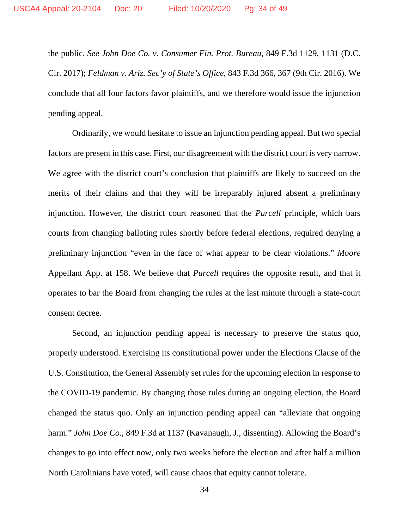the public. *See John Doe Co. v. Consumer Fin. Prot. Bureau*, 849 F.3d 1129, 1131 (D.C. Cir. 2017); *Feldman v. Ariz. Sec'y of State's Office*, 843 F.3d 366, 367 (9th Cir. 2016). We conclude that all four factors favor plaintiffs, and we therefore would issue the injunction pending appeal.

Ordinarily, we would hesitate to issue an injunction pending appeal. But two special factors are present in this case. First, our disagreement with the district court is very narrow. We agree with the district court's conclusion that plaintiffs are likely to succeed on the merits of their claims and that they will be irreparably injured absent a preliminary injunction. However, the district court reasoned that the *Purcell* principle, which bars courts from changing balloting rules shortly before federal elections, required denying a preliminary injunction "even in the face of what appear to be clear violations." *Moore* Appellant App. at 158. We believe that *Purcell* requires the opposite result, and that it operates to bar the Board from changing the rules at the last minute through a state-court consent decree.

Second, an injunction pending appeal is necessary to preserve the status quo, properly understood. Exercising its constitutional power under the Elections Clause of the U.S. Constitution, the General Assembly set rules for the upcoming election in response to the COVID-19 pandemic. By changing those rules during an ongoing election, the Board changed the status quo. Only an injunction pending appeal can "alleviate that ongoing harm." *John Doe Co.*, 849 F.3d at 1137 (Kavanaugh, J., dissenting). Allowing the Board's changes to go into effect now, only two weeks before the election and after half a million North Carolinians have voted, will cause chaos that equity cannot tolerate.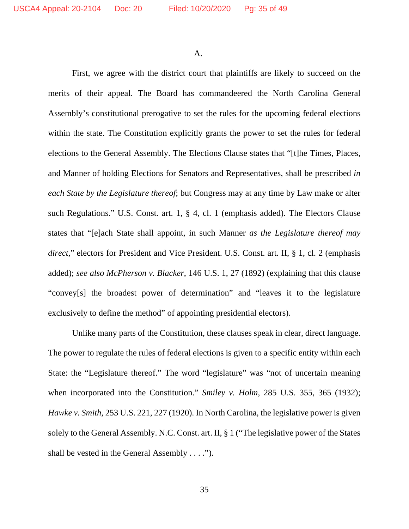A.

First, we agree with the district court that plaintiffs are likely to succeed on the merits of their appeal. The Board has commandeered the North Carolina General Assembly's constitutional prerogative to set the rules for the upcoming federal elections within the state. The Constitution explicitly grants the power to set the rules for federal elections to the General Assembly. The Elections Clause states that "[t]he Times, Places, and Manner of holding Elections for Senators and Representatives, shall be prescribed *in each State by the Legislature thereof*; but Congress may at any time by Law make or alter such Regulations." U.S. Const. art. 1, § 4, cl. 1 (emphasis added). The Electors Clause states that "[e]ach State shall appoint, in such Manner *as the Legislature thereof may direct*," electors for President and Vice President. U.S. Const. art. II, § 1, cl. 2 (emphasis added); *see also McPherson v. Blacker*, 146 U.S. 1, 27 (1892) (explaining that this clause "convey[s] the broadest power of determination" and "leaves it to the legislature exclusively to define the method" of appointing presidential electors).

Unlike many parts of the Constitution, these clauses speak in clear, direct language. The power to regulate the rules of federal elections is given to a specific entity within each State: the "Legislature thereof." The word "legislature" was "not of uncertain meaning when incorporated into the Constitution." *Smiley v. Holm*, 285 U.S. 355, 365 (1932); *Hawke v. Smith*, 253 U.S. 221, 227 (1920). In North Carolina, the legislative power is given solely to the General Assembly. N.C. Const. art. II, § 1 ("The legislative power of the States shall be vested in the General Assembly . . . .").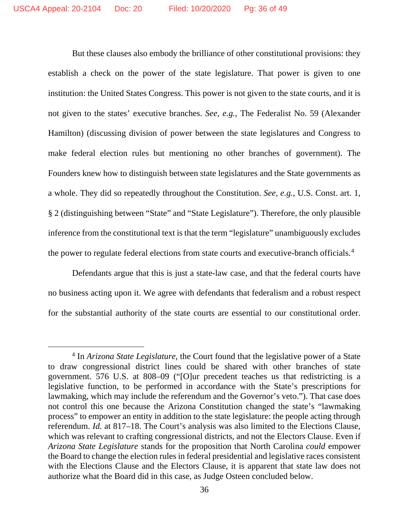But these clauses also embody the brilliance of other constitutional provisions: they establish a check on the power of the state legislature. That power is given to one institution: the United States Congress. This power is not given to the state courts, and it is not given to the states' executive branches. *See, e.g.*, The Federalist No. 59 (Alexander Hamilton) (discussing division of power between the state legislatures and Congress to make federal election rules but mentioning no other branches of government). The Founders knew how to distinguish between state legislatures and the State governments as a whole. They did so repeatedly throughout the Constitution. *See, e.g.*, U.S. Const. art. 1, § 2 (distinguishing between "State" and "State Legislature"). Therefore, the only plausible inference from the constitutional text is that the term "legislature" unambiguously excludes the power to regulate federal elections from state courts and executive-branch officials. 4

Defendants argue that this is just a state-law case, and that the federal courts have no business acting upon it. We agree with defendants that federalism and a robust respect for the substantial authority of the state courts are essential to our constitutional order.

<sup>4</sup> In *Arizona State Legislature*, the Court found that the legislative power of a State to draw congressional district lines could be shared with other branches of state government. 576 U.S. at 808–09 ("[O]ur precedent teaches us that redistricting is a legislative function, to be performed in accordance with the State's prescriptions for lawmaking, which may include the referendum and the Governor's veto."). That case does not control this one because the Arizona Constitution changed the state's "lawmaking process" to empower an entity in addition to the state legislature: the people acting through referendum. *Id.* at 817–18. The Court's analysis was also limited to the Elections Clause, which was relevant to crafting congressional districts, and not the Electors Clause. Even if *Arizona State Legislature* stands for the proposition that North Carolina *could* empower the Board to change the election rules in federal presidential and legislative races consistent with the Elections Clause and the Electors Clause, it is apparent that state law does not authorize what the Board did in this case, as Judge Osteen concluded below.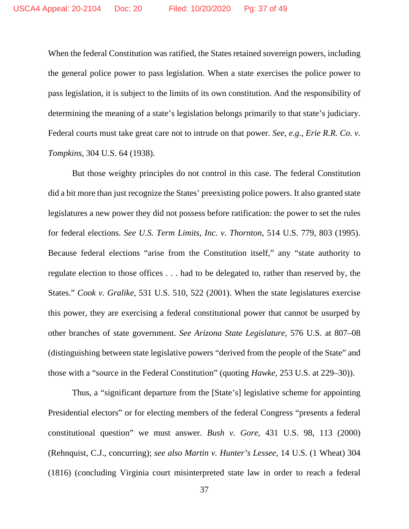When the federal Constitution was ratified, the States retained sovereign powers, including the general police power to pass legislation. When a state exercises the police power to pass legislation, it is subject to the limits of its own constitution. And the responsibility of determining the meaning of a state's legislation belongs primarily to that state's judiciary. Federal courts must take great care not to intrude on that power. *See, e.g.*, *Erie R.R. Co. v. Tompkins*, 304 U.S. 64 (1938).

But those weighty principles do not control in this case. The federal Constitution did a bit more than just recognize the States' preexisting police powers. It also granted state legislatures a new power they did not possess before ratification: the power to set the rules for federal elections. *See U.S. Term Limits, Inc. v. Thornton*, 514 U.S. 779, 803 (1995). Because federal elections "arise from the Constitution itself," any "state authority to regulate election to those offices . . . had to be delegated to, rather than reserved by, the States." *Cook v. Gralike*, 531 U.S. 510, 522 (2001). When the state legislatures exercise this power, they are exercising a federal constitutional power that cannot be usurped by other branches of state government. *See Arizona State Legislature*, 576 U.S. at 807–08 (distinguishing between state legislative powers "derived from the people of the State" and those with a "source in the Federal Constitution" (quoting *Hawke*, 253 U.S. at 229–30)).

Thus, a "significant departure from the [State's] legislative scheme for appointing Presidential electors" or for electing members of the federal Congress "presents a federal constitutional question" we must answer. *Bush v. Gore*, 431 U.S. 98, 113 (2000) (Rehnquist, C.J., concurring); *see also Martin v. Hunter's Lessee*, 14 U.S. (1 Wheat) 304 (1816) (concluding Virginia court misinterpreted state law in order to reach a federal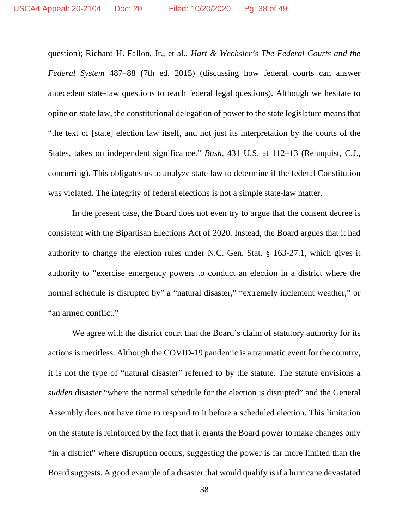question); Richard H. Fallon, Jr., et al., *Hart & Wechsler's The Federal Courts and the Federal System* 487–88 (7th ed. 2015) (discussing how federal courts can answer antecedent state-law questions to reach federal legal questions). Although we hesitate to opine on state law, the constitutional delegation of power to the state legislature means that "the text of [state] election law itself, and not just its interpretation by the courts of the States, takes on independent significance." *Bush*, 431 U.S. at 112–13 (Rehnquist, C.J., concurring). This obligates us to analyze state law to determine if the federal Constitution was violated. The integrity of federal elections is not a simple state-law matter.

In the present case, the Board does not even try to argue that the consent decree is consistent with the Bipartisan Elections Act of 2020. Instead, the Board argues that it had authority to change the election rules under N.C. Gen. Stat. § 163-27.1, which gives it authority to "exercise emergency powers to conduct an election in a district where the normal schedule is disrupted by" a "natural disaster," "extremely inclement weather," or "an armed conflict."

We agree with the district court that the Board's claim of statutory authority for its actions is meritless. Although the COVID-19 pandemic is a traumatic event for the country, it is not the type of "natural disaster" referred to by the statute. The statute envisions a *sudden* disaster "where the normal schedule for the election is disrupted" and the General Assembly does not have time to respond to it before a scheduled election. This limitation on the statute is reinforced by the fact that it grants the Board power to make changes only "in a district" where disruption occurs, suggesting the power is far more limited than the Board suggests. A good example of a disaster that would qualify is if a hurricane devastated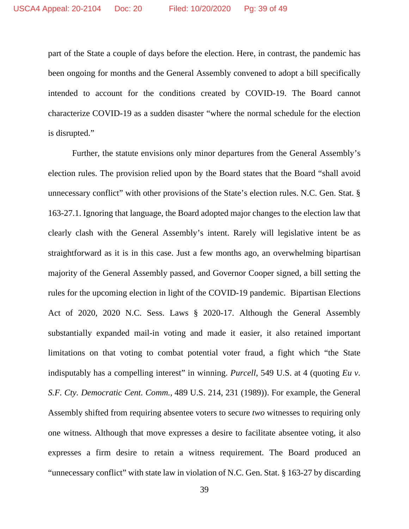part of the State a couple of days before the election. Here, in contrast, the pandemic has been ongoing for months and the General Assembly convened to adopt a bill specifically intended to account for the conditions created by COVID-19. The Board cannot characterize COVID-19 as a sudden disaster "where the normal schedule for the election is disrupted."

Further, the statute envisions only minor departures from the General Assembly's election rules. The provision relied upon by the Board states that the Board "shall avoid unnecessary conflict" with other provisions of the State's election rules. N.C. Gen. Stat. § 163-27.1. Ignoring that language, the Board adopted major changes to the election law that clearly clash with the General Assembly's intent. Rarely will legislative intent be as straightforward as it is in this case. Just a few months ago, an overwhelming bipartisan majority of the General Assembly passed, and Governor Cooper signed, a bill setting the rules for the upcoming election in light of the COVID-19 pandemic. Bipartisan Elections Act of 2020, 2020 N.C. Sess. Laws § 2020-17. Although the General Assembly substantially expanded mail-in voting and made it easier, it also retained important limitations on that voting to combat potential voter fraud, a fight which "the State indisputably has a compelling interest" in winning. *Purcell*, 549 U.S. at 4 (quoting *Eu v. S.F. Cty. Democratic Cent. Comm.,* 489 U.S. 214, 231 (1989)). For example, the General Assembly shifted from requiring absentee voters to secure *two* witnesses to requiring only one witness. Although that move expresses a desire to facilitate absentee voting, it also expresses a firm desire to retain a witness requirement. The Board produced an "unnecessary conflict" with state law in violation of N.C. Gen. Stat. § 163-27 by discarding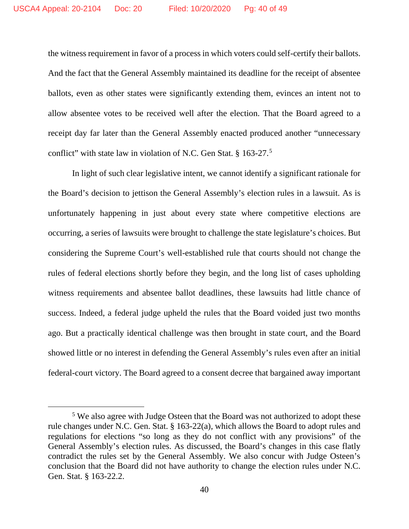the witness requirement in favor of a process in which voters could self-certify their ballots. And the fact that the General Assembly maintained its deadline for the receipt of absentee ballots, even as other states were significantly extending them, evinces an intent not to allow absentee votes to be received well after the election. That the Board agreed to a receipt day far later than the General Assembly enacted produced another "unnecessary conflict" with state law in violation of N.C. Gen Stat. § 163-27.<sup>5</sup>

In light of such clear legislative intent, we cannot identify a significant rationale for the Board's decision to jettison the General Assembly's election rules in a lawsuit. As is unfortunately happening in just about every state where competitive elections are occurring, a series of lawsuits were brought to challenge the state legislature's choices. But considering the Supreme Court's well-established rule that courts should not change the rules of federal elections shortly before they begin, and the long list of cases upholding witness requirements and absentee ballot deadlines, these lawsuits had little chance of success. Indeed, a federal judge upheld the rules that the Board voided just two months ago. But a practically identical challenge was then brought in state court, and the Board showed little or no interest in defending the General Assembly's rules even after an initial federal-court victory. The Board agreed to a consent decree that bargained away important

<sup>&</sup>lt;sup>5</sup> We also agree with Judge Osteen that the Board was not authorized to adopt these rule changes under N.C. Gen. Stat. § 163-22(a), which allows the Board to adopt rules and regulations for elections "so long as they do not conflict with any provisions" of the General Assembly's election rules. As discussed, the Board's changes in this case flatly contradict the rules set by the General Assembly. We also concur with Judge Osteen's conclusion that the Board did not have authority to change the election rules under N.C. Gen. Stat. § 163-22.2.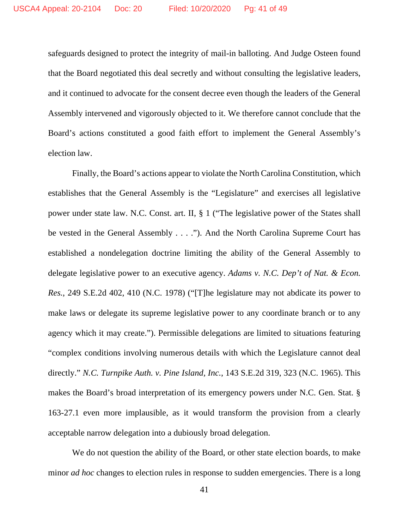safeguards designed to protect the integrity of mail-in balloting. And Judge Osteen found that the Board negotiated this deal secretly and without consulting the legislative leaders, and it continued to advocate for the consent decree even though the leaders of the General Assembly intervened and vigorously objected to it. We therefore cannot conclude that the Board's actions constituted a good faith effort to implement the General Assembly's election law.

Finally, the Board's actions appear to violate the North Carolina Constitution, which establishes that the General Assembly is the "Legislature" and exercises all legislative power under state law. N.C. Const. art. II, § 1 ("The legislative power of the States shall be vested in the General Assembly . . . ."). And the North Carolina Supreme Court has established a nondelegation doctrine limiting the ability of the General Assembly to delegate legislative power to an executive agency. *Adams v. N.C. Dep't of Nat. & Econ. Res.*, 249 S.E.2d 402, 410 (N.C. 1978) ("[T]he legislature may not abdicate its power to make laws or delegate its supreme legislative power to any coordinate branch or to any agency which it may create."). Permissible delegations are limited to situations featuring "complex conditions involving numerous details with which the Legislature cannot deal directly." *N.C. Turnpike Auth. v. Pine Island, Inc.*, 143 S.E.2d 319, 323 (N.C. 1965). This makes the Board's broad interpretation of its emergency powers under N.C. Gen. Stat. § 163-27.1 even more implausible, as it would transform the provision from a clearly acceptable narrow delegation into a dubiously broad delegation.

We do not question the ability of the Board, or other state election boards, to make minor *ad hoc* changes to election rules in response to sudden emergencies. There is a long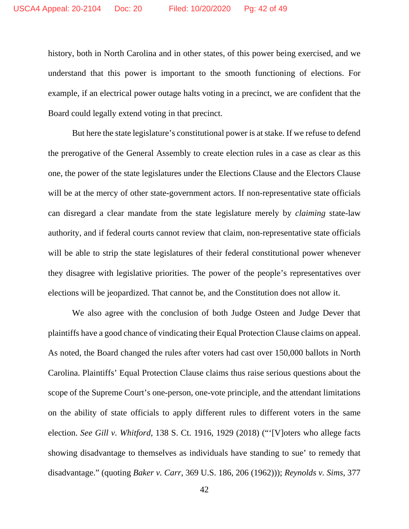history, both in North Carolina and in other states, of this power being exercised, and we understand that this power is important to the smooth functioning of elections. For example, if an electrical power outage halts voting in a precinct, we are confident that the Board could legally extend voting in that precinct.

But here the state legislature's constitutional power is at stake. If we refuse to defend the prerogative of the General Assembly to create election rules in a case as clear as this one, the power of the state legislatures under the Elections Clause and the Electors Clause will be at the mercy of other state-government actors. If non-representative state officials can disregard a clear mandate from the state legislature merely by *claiming* state-law authority, and if federal courts cannot review that claim, non-representative state officials will be able to strip the state legislatures of their federal constitutional power whenever they disagree with legislative priorities. The power of the people's representatives over elections will be jeopardized. That cannot be, and the Constitution does not allow it.

We also agree with the conclusion of both Judge Osteen and Judge Dever that plaintiffs have a good chance of vindicating their Equal Protection Clause claims on appeal. As noted, the Board changed the rules after voters had cast over 150,000 ballots in North Carolina. Plaintiffs' Equal Protection Clause claims thus raise serious questions about the scope of the Supreme Court's one-person, one-vote principle, and the attendant limitations on the ability of state officials to apply different rules to different voters in the same election. *See Gill v. Whitford*, 138 S. Ct. 1916, 1929 (2018) ("'[V]oters who allege facts showing disadvantage to themselves as individuals have standing to sue' to remedy that disadvantage." (quoting *Baker v. Carr*, 369 U.S. 186, 206 (1962))); *Reynolds v. Sims*, 377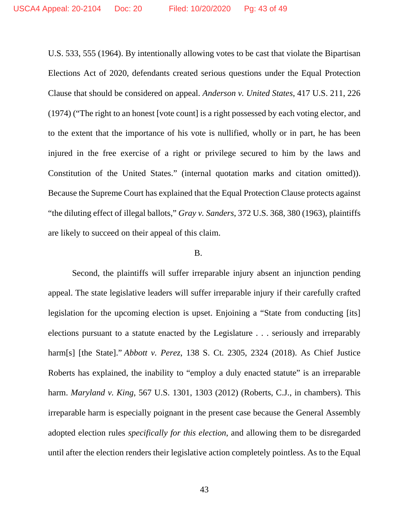U.S. 533, 555 (1964). By intentionally allowing votes to be cast that violate the Bipartisan Elections Act of 2020, defendants created serious questions under the Equal Protection Clause that should be considered on appeal. *Anderson v. United States*, 417 U.S. 211, 226 (1974) ("The right to an honest [vote count] is a right possessed by each voting elector, and to the extent that the importance of his vote is nullified, wholly or in part, he has been injured in the free exercise of a right or privilege secured to him by the laws and Constitution of the United States." (internal quotation marks and citation omitted)). Because the Supreme Court has explained that the Equal Protection Clause protects against "the diluting effect of illegal ballots," *Gray v. Sanders*, 372 U.S. 368, 380 (1963), plaintiffs are likely to succeed on their appeal of this claim.

#### B.

Second, the plaintiffs will suffer irreparable injury absent an injunction pending appeal. The state legislative leaders will suffer irreparable injury if their carefully crafted legislation for the upcoming election is upset. Enjoining a "State from conducting [its] elections pursuant to a statute enacted by the Legislature . . . seriously and irreparably harm[s] [the State]." *Abbott v. Perez*, 138 S. Ct. 2305, 2324 (2018). As Chief Justice Roberts has explained, the inability to "employ a duly enacted statute" is an irreparable harm. *Maryland v. King*, 567 U.S. 1301, 1303 (2012) (Roberts, C.J., in chambers). This irreparable harm is especially poignant in the present case because the General Assembly adopted election rules *specifically for this election*, and allowing them to be disregarded until after the election renders their legislative action completely pointless. As to the Equal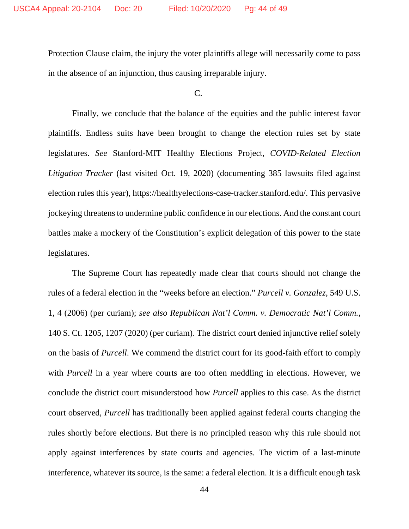Protection Clause claim, the injury the voter plaintiffs allege will necessarily come to pass in the absence of an injunction, thus causing irreparable injury.

 $C_{\cdot}$ 

Finally, we conclude that the balance of the equities and the public interest favor plaintiffs. Endless suits have been brought to change the election rules set by state legislatures. *See* Stanford-MIT Healthy Elections Project, *COVID-Related Election Litigation Tracker* (last visited Oct. 19, 2020) (documenting 385 lawsuits filed against election rules this year), https://healthyelections-case-tracker.stanford.edu/. This pervasive jockeying threatens to undermine public confidence in our elections. And the constant court battles make a mockery of the Constitution's explicit delegation of this power to the state legislatures.

The Supreme Court has repeatedly made clear that courts should not change the rules of a federal election in the "weeks before an election." *Purcell v. Gonzalez*, 549 U.S. 1, 4 (2006) (per curiam); *see also Republican Nat'l Comm. v. Democratic Nat'l Comm.*, 140 S. Ct. 1205, 1207 (2020) (per curiam). The district court denied injunctive relief solely on the basis of *Purcell*. We commend the district court for its good-faith effort to comply with *Purcell* in a year where courts are too often meddling in elections. However, we conclude the district court misunderstood how *Purcell* applies to this case. As the district court observed, *Purcell* has traditionally been applied against federal courts changing the rules shortly before elections. But there is no principled reason why this rule should not apply against interferences by state courts and agencies. The victim of a last-minute interference, whatever its source, is the same: a federal election. It is a difficult enough task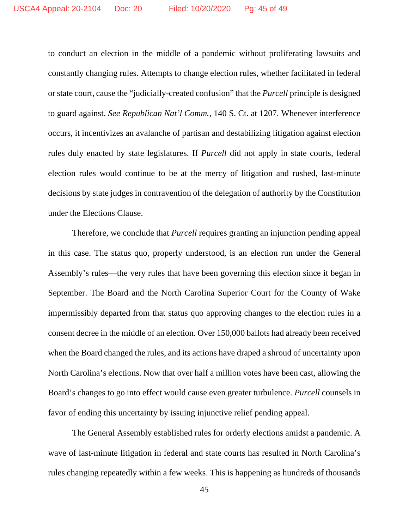to conduct an election in the middle of a pandemic without proliferating lawsuits and constantly changing rules. Attempts to change election rules, whether facilitated in federal or state court, cause the "judicially-created confusion" that the *Purcell* principle is designed to guard against. *See Republican Nat'l Comm.*, 140 S. Ct. at 1207. Whenever interference occurs, it incentivizes an avalanche of partisan and destabilizing litigation against election rules duly enacted by state legislatures. If *Purcell* did not apply in state courts, federal election rules would continue to be at the mercy of litigation and rushed, last-minute decisions by state judges in contravention of the delegation of authority by the Constitution under the Elections Clause.

Therefore, we conclude that *Purcell* requires granting an injunction pending appeal in this case. The status quo, properly understood, is an election run under the General Assembly's rules—the very rules that have been governing this election since it began in September. The Board and the North Carolina Superior Court for the County of Wake impermissibly departed from that status quo approving changes to the election rules in a consent decree in the middle of an election. Over 150,000 ballots had already been received when the Board changed the rules, and its actions have draped a shroud of uncertainty upon North Carolina's elections. Now that over half a million votes have been cast, allowing the Board's changes to go into effect would cause even greater turbulence. *Purcell* counsels in favor of ending this uncertainty by issuing injunctive relief pending appeal.

The General Assembly established rules for orderly elections amidst a pandemic. A wave of last-minute litigation in federal and state courts has resulted in North Carolina's rules changing repeatedly within a few weeks. This is happening as hundreds of thousands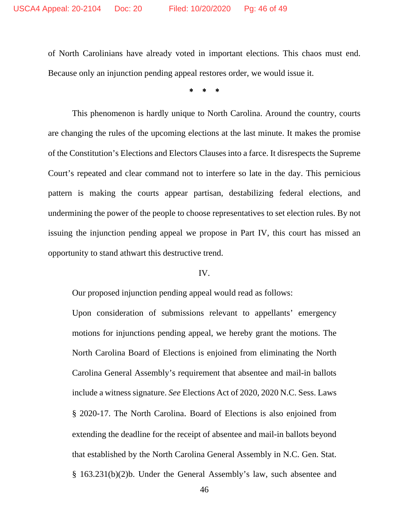of North Carolinians have already voted in important elections. This chaos must end. Because only an injunction pending appeal restores order, we would issue it.

⃰ ⃰ ⃰

This phenomenon is hardly unique to North Carolina. Around the country, courts are changing the rules of the upcoming elections at the last minute. It makes the promise of the Constitution's Elections and Electors Clauses into a farce. It disrespects the Supreme Court's repeated and clear command not to interfere so late in the day. This pernicious pattern is making the courts appear partisan, destabilizing federal elections, and undermining the power of the people to choose representatives to set election rules. By not issuing the injunction pending appeal we propose in Part IV, this court has missed an opportunity to stand athwart this destructive trend.

## IV.

Our proposed injunction pending appeal would read as follows:

Upon consideration of submissions relevant to appellants' emergency motions for injunctions pending appeal, we hereby grant the motions. The North Carolina Board of Elections is enjoined from eliminating the North Carolina General Assembly's requirement that absentee and mail-in ballots include a witness signature. *See* Elections Act of 2020, 2020 N.C. Sess. Laws § 2020-17. The North Carolina. Board of Elections is also enjoined from extending the deadline for the receipt of absentee and mail-in ballots beyond that established by the North Carolina General Assembly in N.C. Gen. Stat. § 163.231(b)(2)b. Under the General Assembly's law, such absentee and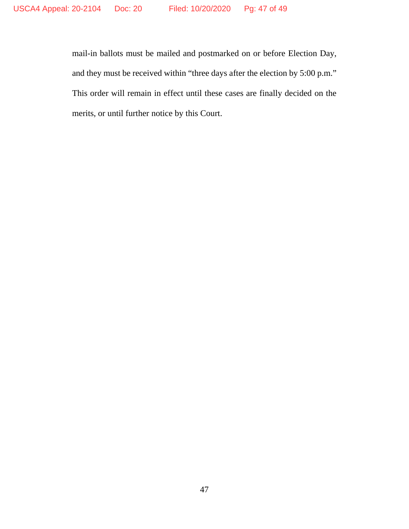mail-in ballots must be mailed and postmarked on or before Election Day, and they must be received within "three days after the election by 5:00 p.m." This order will remain in effect until these cases are finally decided on the merits, or until further notice by this Court.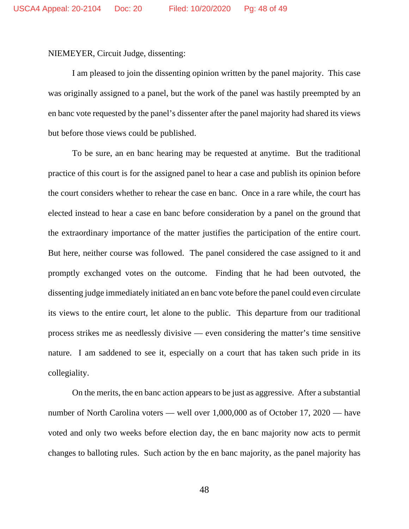NIEMEYER, Circuit Judge, dissenting:

I am pleased to join the dissenting opinion written by the panel majority. This case was originally assigned to a panel, but the work of the panel was hastily preempted by an en banc vote requested by the panel's dissenter after the panel majority had shared its views but before those views could be published.

To be sure, an en banc hearing may be requested at anytime. But the traditional practice of this court is for the assigned panel to hear a case and publish its opinion before the court considers whether to rehear the case en banc. Once in a rare while, the court has elected instead to hear a case en banc before consideration by a panel on the ground that the extraordinary importance of the matter justifies the participation of the entire court. But here, neither course was followed. The panel considered the case assigned to it and promptly exchanged votes on the outcome. Finding that he had been outvoted, the dissenting judge immediately initiated an en banc vote before the panel could even circulate its views to the entire court, let alone to the public. This departure from our traditional process strikes me as needlessly divisive — even considering the matter's time sensitive nature. I am saddened to see it, especially on a court that has taken such pride in its collegiality.

On the merits, the en banc action appears to be just as aggressive. After a substantial number of North Carolina voters — well over 1,000,000 as of October 17, 2020 — have voted and only two weeks before election day, the en banc majority now acts to permit changes to balloting rules. Such action by the en banc majority, as the panel majority has